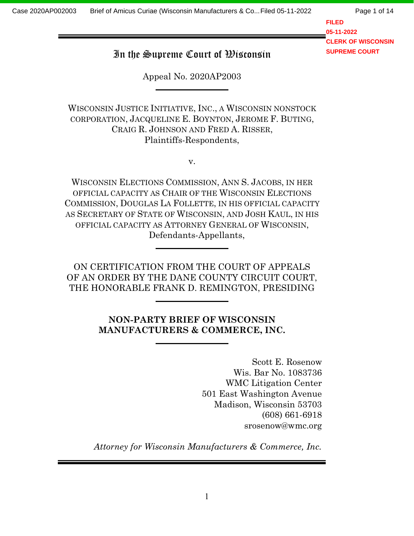Page 1 of 14

**FILED 05-11-2022 CLERK OF WISCONSIN SUPREME COURT**

# In the Supreme Court of Wisconsin

Appeal No. 2020AP2003

WISCONSIN JUSTICE INITIATIVE, INC., <sup>A</sup>WISCONSIN NONSTOCK CORPORATION, JACQUELINE E. BOYNTON, JEROME F. BUTING, CRAIG R. JOHNSON AND FRED A. RISSER, Plaintiffs-Respondents,

v.

WISCONSIN ELECTIONS COMMISSION, ANN S. JACOBS, IN HER OFFICIAL CAPACITY AS CHAIR OF THE WISCONSIN ELECTIONS COMMISSION, DOUGLAS LA FOLLETTE, IN HIS OFFICIAL CAPACITY AS SECRETARY OF STATE OF WISCONSIN, AND JOSH KAUL, IN HIS OFFICIAL CAPACITY AS ATTORNEY GENERAL OF WISCONSIN, Defendants-Appellants,

ON CERTIFICATION FROM THE COURT OF APPEALS OF AN ORDER BY THE DANE COUNTY CIRCUIT COURT, THE HONORABLE FRANK D. REMINGTON, PRESIDING

## NON-PARTY BRIEF OF WISCONSIN MANUFACTURERS & COMMERCE, INC.

Scott E. Rosenow Wis. Bar No. 1083736 WMC Litigation Center 501 East Washington Avenue Madison, Wisconsin 53703 (608) 661-6918 srosenow@wmc.org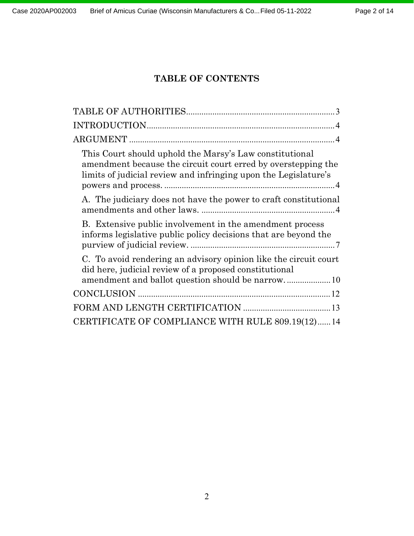# TABLE OF CONTENTS

| This Court should uphold the Marsy's Law constitutional<br>amendment because the circuit court erred by overstepping the<br>limits of judicial review and infringing upon the Legislature's |
|---------------------------------------------------------------------------------------------------------------------------------------------------------------------------------------------|
| A. The judiciary does not have the power to craft constitutional                                                                                                                            |
| B. Extensive public involvement in the amendment process<br>informs legislative public policy decisions that are beyond the                                                                 |
| C. To avoid rendering an advisory opinion like the circuit court<br>did here, judicial review of a proposed constitutional                                                                  |
|                                                                                                                                                                                             |
|                                                                                                                                                                                             |
| CERTIFICATE OF COMPLIANCE WITH RULE 809.19(12)14                                                                                                                                            |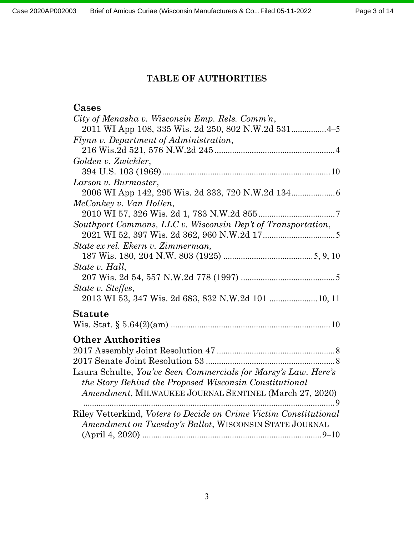## TABLE OF AUTHORITIES

# Cases

| City of Menasha v. Wisconsin Emp. Rels. Comm'n,                          |
|--------------------------------------------------------------------------|
|                                                                          |
| Flynn v. Department of Administration,                                   |
|                                                                          |
| Golden v. Zwickler,                                                      |
|                                                                          |
| Larson v. Burmaster,                                                     |
|                                                                          |
| McConkey v. Van Hollen,                                                  |
|                                                                          |
| Southport Commons, LLC v. Wisconsin Dep't of Transportation,             |
|                                                                          |
| State ex rel. Ekern v. Zimmerman,                                        |
|                                                                          |
| State v. Hall,                                                           |
|                                                                          |
| State v. Steffes,                                                        |
| 2013 WI 53, 347 Wis. 2d 683, 832 N.W.2d 101  10, 11                      |
| <b>Statute</b>                                                           |
|                                                                          |
| <b>Other Authorities</b>                                                 |
|                                                                          |
|                                                                          |
| Laura Schulte, You've Seen Commercials for Marsy's Law. Here's           |
| the Story Behind the Proposed Wisconsin Constitutional                   |
| Amendment, MILWAUKEE JOURNAL SENTINEL (March 27, 2020)                   |
|                                                                          |
| Riley Vetterkind, <i>Voters to Decide on Crime Victim Constitutional</i> |
| Amendment on Tuesday's Ballot, WISCONSIN STATE JOURNAL                   |
|                                                                          |
|                                                                          |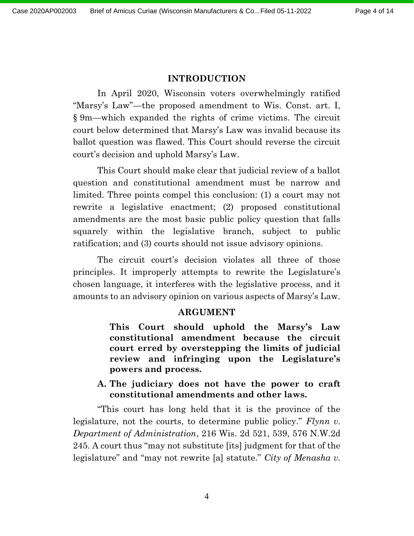#### INTRODUCTION

In April 2020, Wisconsin voters overwhelmingly ratified "Marsy's Law"—the proposed amendment to Wis. Const. art. I, § 9m—which expanded the rights of crime victims. The circuit court below determined that Marsy's Law was invalid because its ballot question was flawed. This Court should reverse the circuit court's decision and uphold Marsy's Law.

This Court should make clear that judicial review of a ballot question and constitutional amendment must be narrow and limited. Three points compel this conclusion: (1) a court may not rewrite a legislative enactment; (2) proposed constitutional amendments are the most basic public policy question that falls squarely within the legislative branch, subject to public ratification; and (3) courts should not issue advisory opinions.

The circuit court's decision violates all three of those principles. It improperly attempts to rewrite the Legislature's chosen language, it interferes with the legislative process, and it amounts to an advisory opinion on various aspects of Marsy's Law.

#### ARGUMENT

This Court should uphold the Marsy's Law constitutional amendment because the circuit court erred by overstepping the limits of judicial review and infringing upon the Legislature's powers and process.

A. The judiciary does not have the power to craft constitutional amendments and other laws.

"This court has long held that it is the province of the legislature, not the courts, to determine public policy." Flynn v. Department of Administration, 216 Wis. 2d 521, 539, 576 N.W.2d 245. A court thus "may not substitute [its] judgment for that of the legislature" and "may not rewrite [a] statute." City of Menasha v.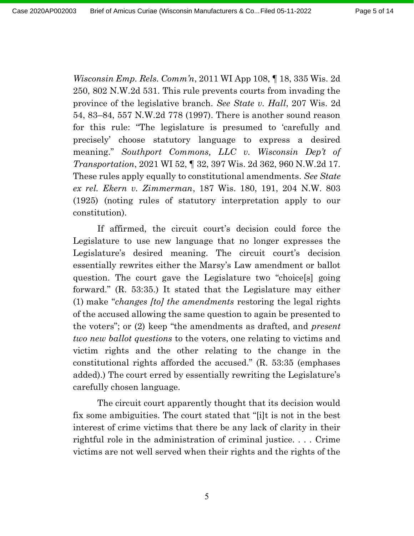Wisconsin Emp. Rels. Comm'n, 2011 WI App 108,  $\P$  18, 335 Wis. 2d 250, 802 N.W.2d 531. This rule prevents courts from invading the province of the legislative branch. See State v. Hall, 207 Wis. 2d 54, 83–84, 557 N.W.2d 778 (1997). There is another sound reason for this rule: "The legislature is presumed to 'carefully and precisely' choose statutory language to express a desired meaning." Southport Commons, LLC v. Wisconsin Dep't of Transportation, 2021 WI 52, ¶ 32, 397 Wis. 2d 362, 960 N.W.2d 17. These rules apply equally to constitutional amendments. See State ex rel. Ekern v. Zimmerman, 187 Wis. 180, 191, 204 N.W. 803 (1925) (noting rules of statutory interpretation apply to our constitution).

If affirmed, the circuit court's decision could force the Legislature to use new language that no longer expresses the Legislature's desired meaning. The circuit court's decision essentially rewrites either the Marsy's Law amendment or ballot question. The court gave the Legislature two "choice[s] going forward." (R. 53:35.) It stated that the Legislature may either (1) make "changes [to] the amendments restoring the legal rights of the accused allowing the same question to again be presented to the voters"; or (2) keep "the amendments as drafted, and present two new ballot questions to the voters, one relating to victims and victim rights and the other relating to the change in the constitutional rights afforded the accused." (R. 53:35 (emphases added).) The court erred by essentially rewriting the Legislature's carefully chosen language.

The circuit court apparently thought that its decision would fix some ambiguities. The court stated that "[i]t is not in the best interest of crime victims that there be any lack of clarity in their rightful role in the administration of criminal justice. . . . Crime victims are not well served when their rights and the rights of the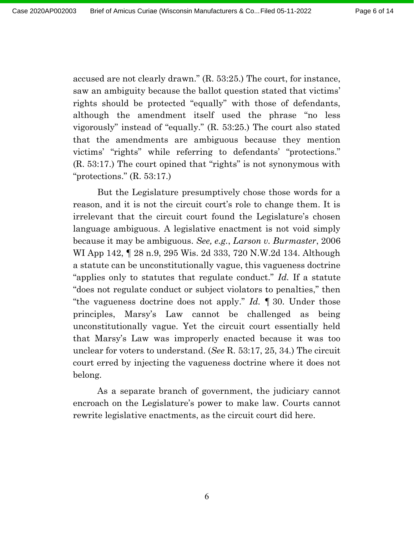accused are not clearly drawn." (R. 53:25.) The court, for instance, saw an ambiguity because the ballot question stated that victims' rights should be protected "equally" with those of defendants, although the amendment itself used the phrase "no less vigorously" instead of "equally." (R. 53:25.) The court also stated that the amendments are ambiguous because they mention victims' "rights" while referring to defendants' "protections." (R. 53:17.) The court opined that "rights" is not synonymous with "protections."  $(R. 53:17.)$ 

But the Legislature presumptively chose those words for a reason, and it is not the circuit court's role to change them. It is irrelevant that the circuit court found the Legislature's chosen language ambiguous. A legislative enactment is not void simply because it may be ambiguous. See, e.g., Larson v. Burmaster, 2006 WI App 142, ¶ 28 n.9, 295 Wis. 2d 333, 720 N.W.2d 134. Although a statute can be unconstitutionally vague, this vagueness doctrine "applies only to statutes that regulate conduct." Id. If a statute "does not regulate conduct or subject violators to penalties," then "the vagueness doctrine does not apply." Id.  $\parallel$  30. Under those principles, Marsy's Law cannot be challenged as being unconstitutionally vague. Yet the circuit court essentially held that Marsy's Law was improperly enacted because it was too unclear for voters to understand. (See R. 53:17, 25, 34.) The circuit court erred by injecting the vagueness doctrine where it does not belong.

As a separate branch of government, the judiciary cannot encroach on the Legislature's power to make law. Courts cannot rewrite legislative enactments, as the circuit court did here.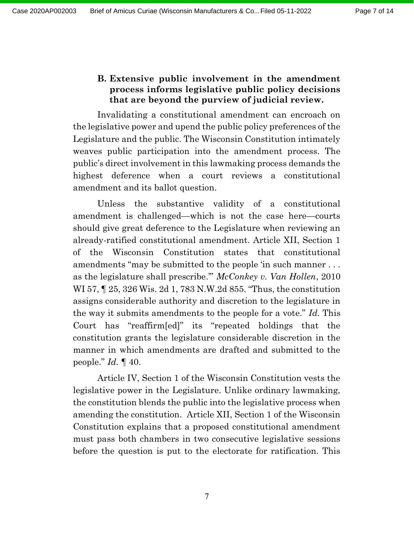# B. Extensive public involvement in the amendment process informs legislative public policy decisions that are beyond the purview of judicial review.

Invalidating a constitutional amendment can encroach on the legislative power and upend the public policy preferences of the Legislature and the public. The Wisconsin Constitution intimately weaves public participation into the amendment process. The public's direct involvement in this lawmaking process demands the highest deference when a court reviews a constitutional amendment and its ballot question.

Unless the substantive validity of a constitutional amendment is challenged—which is not the case here—courts should give great deference to the Legislature when reviewing an already-ratified constitutional amendment. Article XII, Section 1 of the Wisconsin Constitution states that constitutional amendments "may be submitted to the people 'in such manner . . . as the legislature shall prescribe.'" McConkey v. Van Hollen, 2010 WI 57, ¶ 25, 326 Wis. 2d 1, 783 N.W.2d 855. "Thus, the constitution assigns considerable authority and discretion to the legislature in the way it submits amendments to the people for a vote." Id. This Court has "reaffirm[ed]" its "repeated holdings that the constitution grants the legislature considerable discretion in the manner in which amendments are drafted and submitted to the people."  $Id. \P 40$ .

Article IV, Section 1 of the Wisconsin Constitution vests the legislative power in the Legislature. Unlike ordinary lawmaking, the constitution blends the public into the legislative process when amending the constitution. Article XII, Section 1 of the Wisconsin Constitution explains that a proposed constitutional amendment must pass both chambers in two consecutive legislative sessions before the question is put to the electorate for ratification. This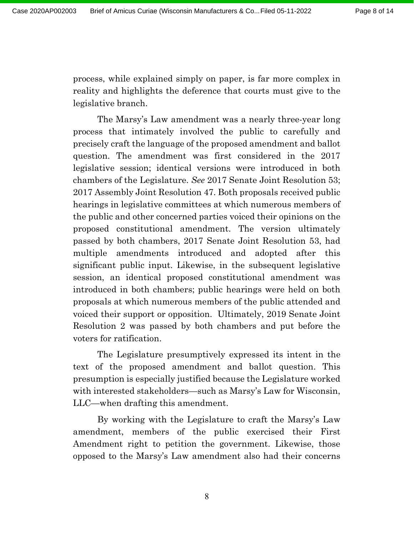process, while explained simply on paper, is far more complex in reality and highlights the deference that courts must give to the legislative branch.

The Marsy's Law amendment was a nearly three-year long process that intimately involved the public to carefully and precisely craft the language of the proposed amendment and ballot question. The amendment was first considered in the 2017 legislative session; identical versions were introduced in both chambers of the Legislature. See 2017 Senate Joint Resolution 53; 2017 Assembly Joint Resolution 47. Both proposals received public hearings in legislative committees at which numerous members of the public and other concerned parties voiced their opinions on the proposed constitutional amendment. The version ultimately passed by both chambers, 2017 Senate Joint Resolution 53, had multiple amendments introduced and adopted after this significant public input. Likewise, in the subsequent legislative session, an identical proposed constitutional amendment was introduced in both chambers; public hearings were held on both proposals at which numerous members of the public attended and voiced their support or opposition. Ultimately, 2019 Senate Joint Resolution 2 was passed by both chambers and put before the voters for ratification.

The Legislature presumptively expressed its intent in the text of the proposed amendment and ballot question. This presumption is especially justified because the Legislature worked with interested stakeholders—such as Marsy's Law for Wisconsin, LLC—when drafting this amendment.

By working with the Legislature to craft the Marsy's Law amendment, members of the public exercised their First Amendment right to petition the government. Likewise, those opposed to the Marsy's Law amendment also had their concerns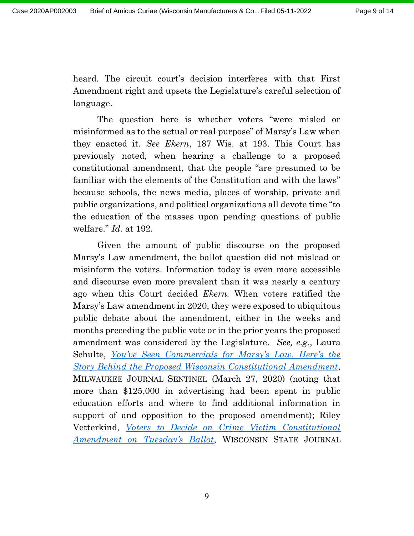heard. The circuit court's decision interferes with that First Amendment right and upsets the Legislature's careful selection of language.

The question here is whether voters "were misled or misinformed as to the actual or real purpose" of Marsy's Law when they enacted it. See Ekern, 187 Wis. at 193. This Court has previously noted, when hearing a challenge to a proposed constitutional amendment, that the people "are presumed to be familiar with the elements of the Constitution and with the laws" because schools, the news media, places of worship, private and public organizations, and political organizations all devote time "to the education of the masses upon pending questions of public welfare." *Id.* at 192.

Given the amount of public discourse on the proposed Marsy's Law amendment, the ballot question did not mislead or misinform the voters. Information today is even more accessible and discourse even more prevalent than it was nearly a century ago when this Court decided Ekern. When voters ratified the Marsy's Law amendment in 2020, they were exposed to ubiquitous public debate about the amendment, either in the weeks and months preceding the public vote or in the prior years the proposed amendment was considered by the Legislature. See, e.g., Laura Schulte, You've Seen Commercials for Marsy's Law. Here's the Story Behind the Proposed Wisconsin Constitutional Amendment, MILWAUKEE JOURNAL SENTINEL (March 27, 2020) (noting that more than \$125,000 in advertising had been spent in public education efforts and where to find additional information in support of and opposition to the proposed amendment); Riley Vetterkind, Voters to Decide on Crime Victim Constitutional Amendment on Tuesday's Ballot, WISCONSIN STATE JOURNAL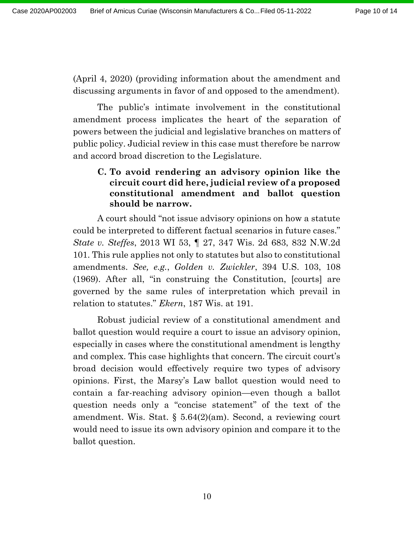(April 4, 2020) (providing information about the amendment and discussing arguments in favor of and opposed to the amendment).

The public's intimate involvement in the constitutional amendment process implicates the heart of the separation of powers between the judicial and legislative branches on matters of public policy. Judicial review in this case must therefore be narrow and accord broad discretion to the Legislature.

## C. To avoid rendering an advisory opinion like the circuit court did here, judicial review of a proposed constitutional amendment and ballot question should be narrow.

A court should "not issue advisory opinions on how a statute could be interpreted to different factual scenarios in future cases." State v. Steffes, 2013 WI 53, ¶ 27, 347 Wis. 2d 683, 832 N.W.2d 101. This rule applies not only to statutes but also to constitutional amendments. See, e.g., Golden v. Zwickler, 394 U.S. 103, 108 (1969). After all, "in construing the Constitution, [courts] are governed by the same rules of interpretation which prevail in relation to statutes." Ekern, 187 Wis. at 191.

Robust judicial review of a constitutional amendment and ballot question would require a court to issue an advisory opinion, especially in cases where the constitutional amendment is lengthy and complex. This case highlights that concern. The circuit court's broad decision would effectively require two types of advisory opinions. First, the Marsy's Law ballot question would need to contain a far-reaching advisory opinion—even though a ballot question needs only a "concise statement" of the text of the amendment. Wis. Stat. § 5.64(2)(am). Second, a reviewing court would need to issue its own advisory opinion and compare it to the ballot question.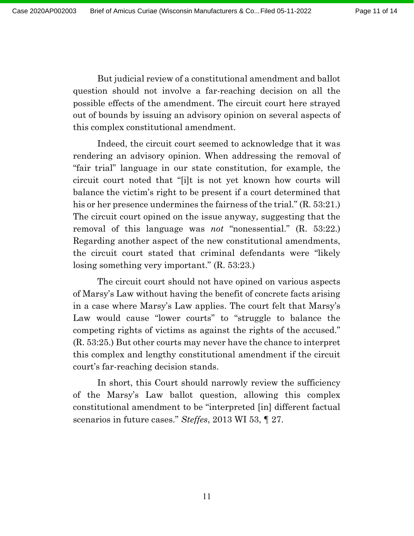But judicial review of a constitutional amendment and ballot question should not involve a far-reaching decision on all the possible effects of the amendment. The circuit court here strayed out of bounds by issuing an advisory opinion on several aspects of this complex constitutional amendment.

Indeed, the circuit court seemed to acknowledge that it was rendering an advisory opinion. When addressing the removal of "fair trial" language in our state constitution, for example, the circuit court noted that "[i]t is not yet known how courts will balance the victim's right to be present if a court determined that his or her presence undermines the fairness of the trial." (R. 53:21.) The circuit court opined on the issue anyway, suggesting that the removal of this language was *not* "nonessential."  $(R. 53:22)$ . Regarding another aspect of the new constitutional amendments, the circuit court stated that criminal defendants were "likely losing something very important." (R. 53:23.)

The circuit court should not have opined on various aspects of Marsy's Law without having the benefit of concrete facts arising in a case where Marsy's Law applies. The court felt that Marsy's Law would cause "lower courts" to "struggle to balance the competing rights of victims as against the rights of the accused." (R. 53:25.) But other courts may never have the chance to interpret this complex and lengthy constitutional amendment if the circuit court's far-reaching decision stands.

In short, this Court should narrowly review the sufficiency of the Marsy's Law ballot question, allowing this complex constitutional amendment to be "interpreted [in] different factual scenarios in future cases." *Steffes*, 2013 WI 53, 127.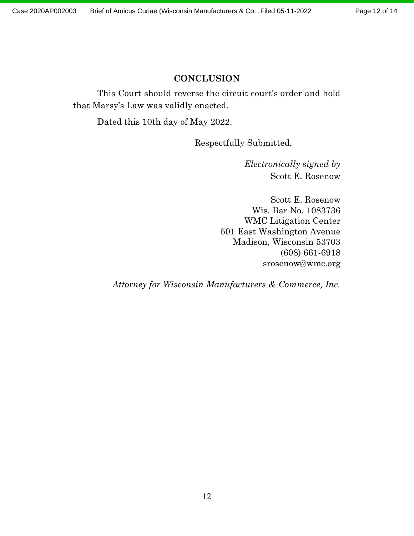## **CONCLUSION**

This Court should reverse the circuit court's order and hold that Marsy's Law was validly enacted.

Dated this 10th day of May 2022.

Respectfully Submitted,

Electronically signed by Scott E. Rosenow

Scott E. Rosenow Wis. Bar No. 1083736 WMC Litigation Center 501 East Washington Avenue Madison, Wisconsin 53703 (608) 661-6918 srosenow@wmc.org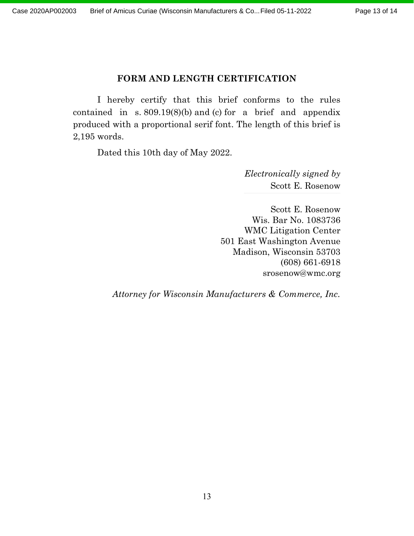## FORM AND LENGTH CERTIFICATION

I hereby certify that this brief conforms to the rules contained in s.  $809.19(8)(b)$  and (c) for a brief and appendix produced with a proportional serif font. The length of this brief is 2,195 words.

Dated this 10th day of May 2022.

Electronically signed by Scott E. Rosenow

Scott E. Rosenow Wis. Bar No. 1083736 WMC Litigation Center 501 East Washington Avenue Madison, Wisconsin 53703 (608) 661-6918 srosenow@wmc.org